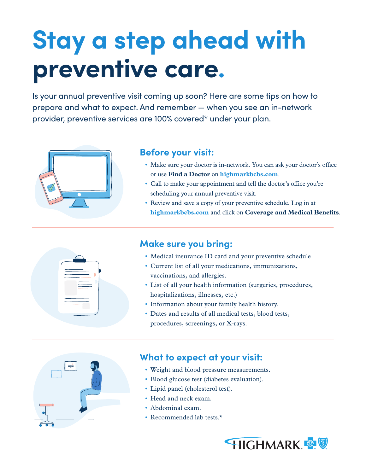## **Stay a step ahead with preventive care.**

Is your annual preventive visit coming up soon? Here are some tips on how to prepare and what to expect. And remember — when you see an in-network provider, preventive services are 100% covered\* under your plan.



## **Before your visit:**

- Make sure your doctor is in-network. You can ask your doctor's office or use **Find a Doctor** on **highmarkbcbs.com**.
- Call to make your appointment and tell the doctor's office you're scheduling your annual preventive visit.
- Review and save a copy of your preventive schedule. Log in at **highmarkbcbs.com** and click on **Coverage and Medical Benefits**.



- Medical insurance ID card and your preventive schedule
- Current list of all your medications, immunizations, vaccinations, and allergies.
- List of all your health information (surgeries, procedures, hospitalizations, illnesses, etc.)
- Information about your family health history.
- Dates and results of all medical tests, blood tests, procedures, screenings, or X-rays.



## **What to expect at your visit:**

- Weight and blood pressure measurements.
- Blood glucose test (diabetes evaluation).
- Lipid panel (cholesterol test).
- Head and neck exam.
- Abdominal exam.
- Recommended lab tests.\*